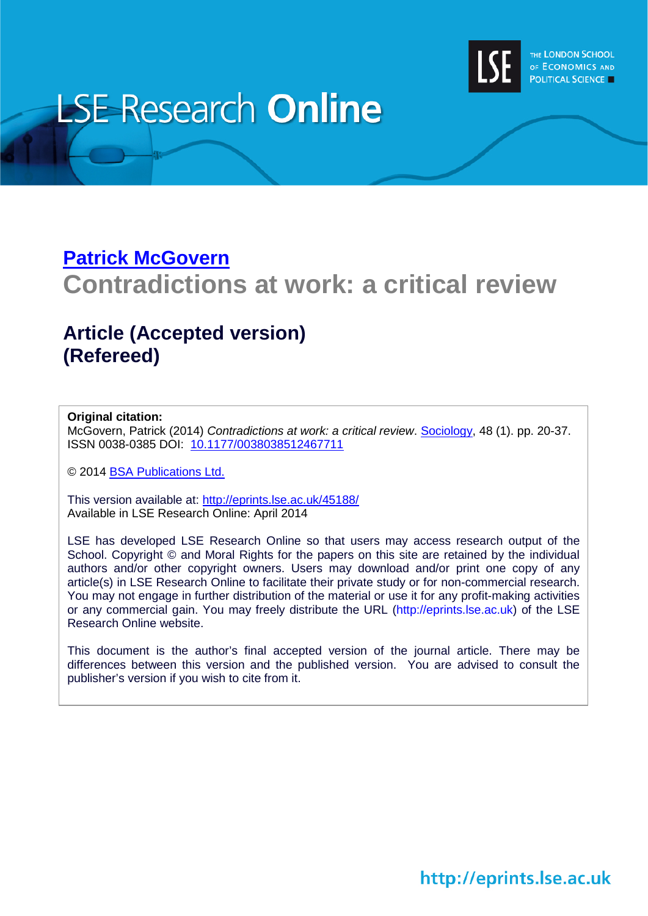

# **LSE Research Online**

## **[Patrick McGovern](http://www2.lse.ac.uk/researchAndExpertise/Experts/profile.aspx?KeyValue=p.mcgovern@lse.ac.uk)**

# **Contradictions at work: a critical review**

## **Article (Accepted version) (Refereed)**

#### **Original citation:**

McGovern, Patrick (2014) *Contradictions at work: a critical review*. [Sociology,](http://www.uk.sagepub.com/journals/Journal201569) 48 (1). pp. 20-37. ISSN 0038-0385 DOI: [10.1177/0038038512467711](http://dx.doi.org/10.1177/0038038512467711)

© 2014 [BSA Publications Ltd.](http://www.britsoc.co.uk/)

This version available at:<http://eprints.lse.ac.uk/45188/> Available in LSE Research Online: April 2014

LSE has developed LSE Research Online so that users may access research output of the School. Copyright © and Moral Rights for the papers on this site are retained by the individual authors and/or other copyright owners. Users may download and/or print one copy of any article(s) in LSE Research Online to facilitate their private study or for non-commercial research. You may not engage in further distribution of the material or use it for any profit-making activities or any commercial gain. You may freely distribute the URL (http://eprints.lse.ac.uk) of the LSE Research Online website.

This document is the author's final accepted version of the journal article. There may be differences between this version and the published version. You are advised to consult the publisher's version if you wish to cite from it.

# http://eprints.lse.ac.uk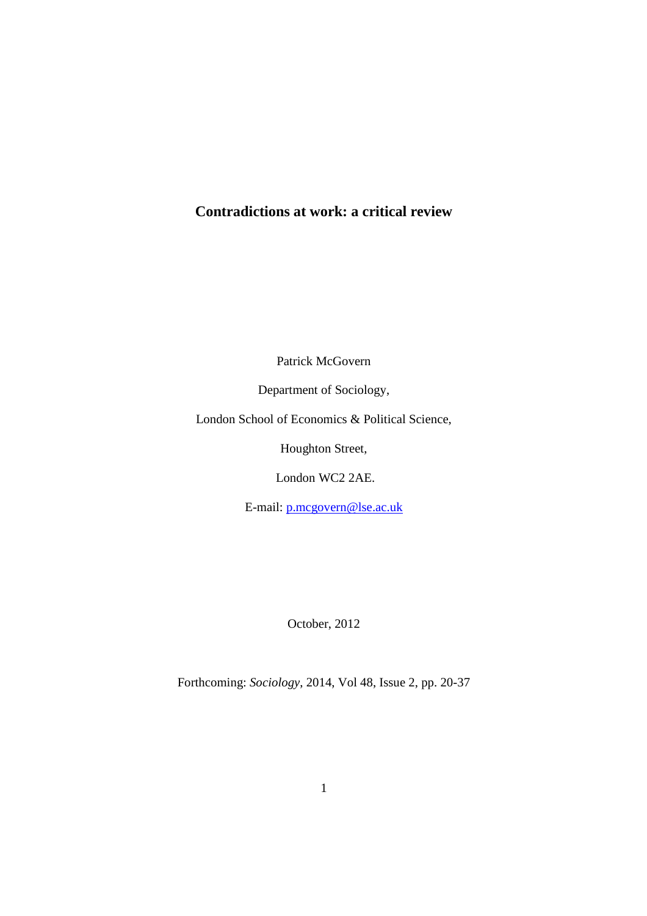#### **Contradictions at work: a critical review**

Patrick McGovern

Department of Sociology,

London School of Economics & Political Science,

Houghton Street,

London WC2 2AE.

E-mail: p.mcgovern@lse.ac.uk

October, 2012

Forthcoming: *Sociology*, 2014, Vol 48, Issue 2, pp. 20-37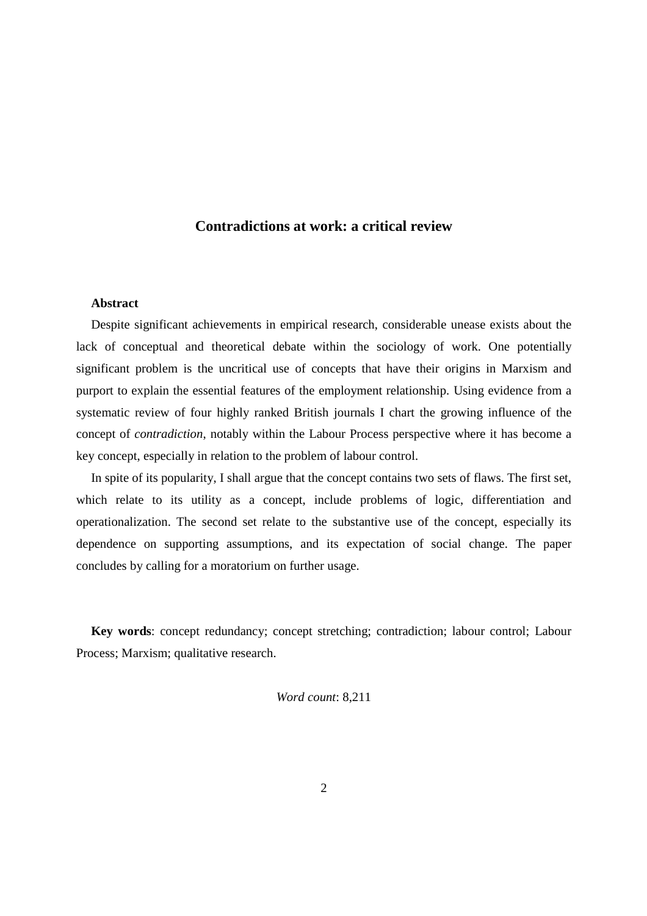#### **Contradictions at work: a critical review**

#### **Abstract**

Despite significant achievements in empirical research, considerable unease exists about the lack of conceptual and theoretical debate within the sociology of work. One potentially significant problem is the uncritical use of concepts that have their origins in Marxism and purport to explain the essential features of the employment relationship. Using evidence from a systematic review of four highly ranked British journals I chart the growing influence of the concept of *contradiction*, notably within the Labour Process perspective where it has become a key concept, especially in relation to the problem of labour control.

In spite of its popularity, I shall argue that the concept contains two sets of flaws. The first set, which relate to its utility as a concept, include problems of logic, differentiation and operationalization. The second set relate to the substantive use of the concept, especially its dependence on supporting assumptions, and its expectation of social change. The paper concludes by calling for a moratorium on further usage.

**Key words**: concept redundancy; concept stretching; contradiction; labour control; Labour Process; Marxism; qualitative research.

*Word count*: 8,211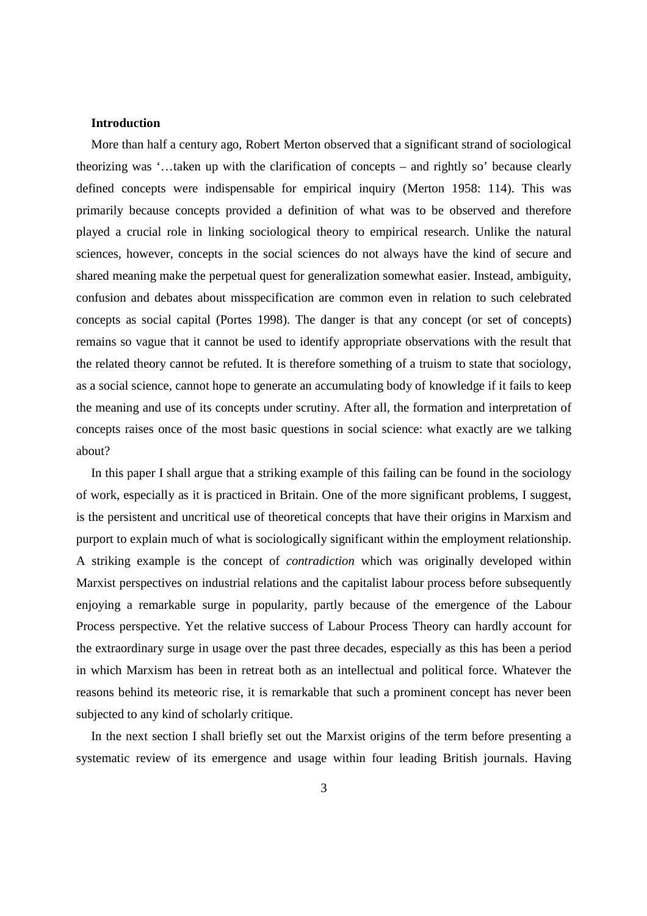#### **Introduction**

More than half a century ago, Robert Merton observed that a significant strand of sociological theorizing was '…taken up with the clarification of concepts – and rightly so' because clearly defined concepts were indispensable for empirical inquiry (Merton 1958: 114). This was primarily because concepts provided a definition of what was to be observed and therefore played a crucial role in linking sociological theory to empirical research. Unlike the natural sciences, however, concepts in the social sciences do not always have the kind of secure and shared meaning make the perpetual quest for generalization somewhat easier. Instead, ambiguity, confusion and debates about misspecification are common even in relation to such celebrated concepts as social capital (Portes 1998). The danger is that any concept (or set of concepts) remains so vague that it cannot be used to identify appropriate observations with the result that the related theory cannot be refuted. It is therefore something of a truism to state that sociology, as a social science, cannot hope to generate an accumulating body of knowledge if it fails to keep the meaning and use of its concepts under scrutiny. After all, the formation and interpretation of concepts raises once of the most basic questions in social science: what exactly are we talking about?

In this paper I shall argue that a striking example of this failing can be found in the sociology of work, especially as it is practiced in Britain. One of the more significant problems, I suggest, is the persistent and uncritical use of theoretical concepts that have their origins in Marxism and purport to explain much of what is sociologically significant within the employment relationship. A striking example is the concept of *contradiction* which was originally developed within Marxist perspectives on industrial relations and the capitalist labour process before subsequently enjoying a remarkable surge in popularity, partly because of the emergence of the Labour Process perspective. Yet the relative success of Labour Process Theory can hardly account for the extraordinary surge in usage over the past three decades, especially as this has been a period in which Marxism has been in retreat both as an intellectual and political force. Whatever the reasons behind its meteoric rise, it is remarkable that such a prominent concept has never been subjected to any kind of scholarly critique.

In the next section I shall briefly set out the Marxist origins of the term before presenting a systematic review of its emergence and usage within four leading British journals. Having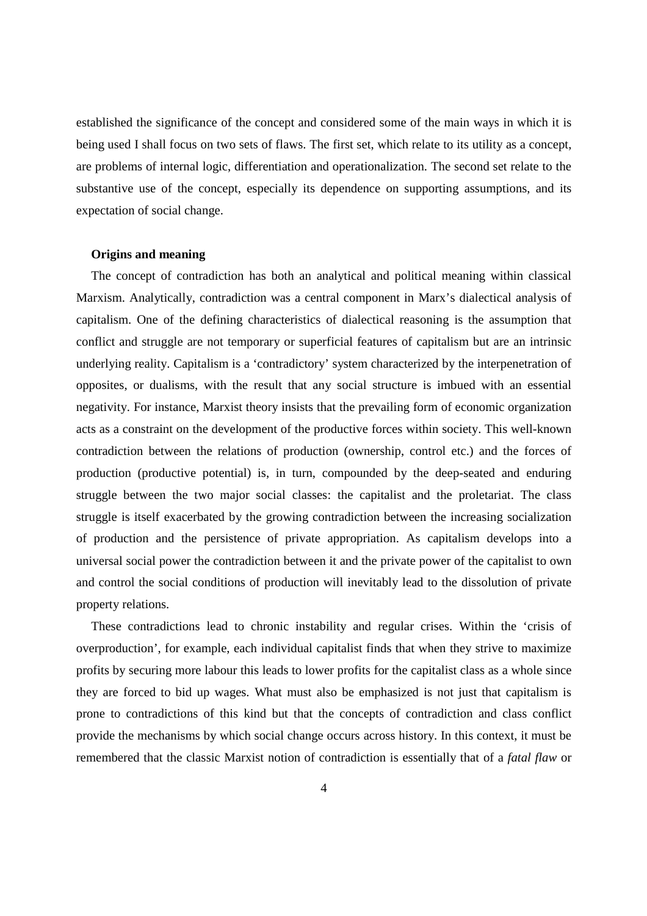established the significance of the concept and considered some of the main ways in which it is being used I shall focus on two sets of flaws. The first set, which relate to its utility as a concept, are problems of internal logic, differentiation and operationalization. The second set relate to the substantive use of the concept, especially its dependence on supporting assumptions, and its expectation of social change.

#### **Origins and meaning**

The concept of contradiction has both an analytical and political meaning within classical Marxism. Analytically, contradiction was a central component in Marx's dialectical analysis of capitalism. One of the defining characteristics of dialectical reasoning is the assumption that conflict and struggle are not temporary or superficial features of capitalism but are an intrinsic underlying reality. Capitalism is a 'contradictory' system characterized by the interpenetration of opposites, or dualisms, with the result that any social structure is imbued with an essential negativity. For instance, Marxist theory insists that the prevailing form of economic organization acts as a constraint on the development of the productive forces within society. This well-known contradiction between the relations of production (ownership, control etc.) and the forces of production (productive potential) is, in turn, compounded by the deep-seated and enduring struggle between the two major social classes: the capitalist and the proletariat. The class struggle is itself exacerbated by the growing contradiction between the increasing socialization of production and the persistence of private appropriation. As capitalism develops into a universal social power the contradiction between it and the private power of the capitalist to own and control the social conditions of production will inevitably lead to the dissolution of private property relations.

These contradictions lead to chronic instability and regular crises. Within the 'crisis of overproduction', for example, each individual capitalist finds that when they strive to maximize profits by securing more labour this leads to lower profits for the capitalist class as a whole since they are forced to bid up wages. What must also be emphasized is not just that capitalism is prone to contradictions of this kind but that the concepts of contradiction and class conflict provide the mechanisms by which social change occurs across history. In this context, it must be remembered that the classic Marxist notion of contradiction is essentially that of a *fatal flaw* or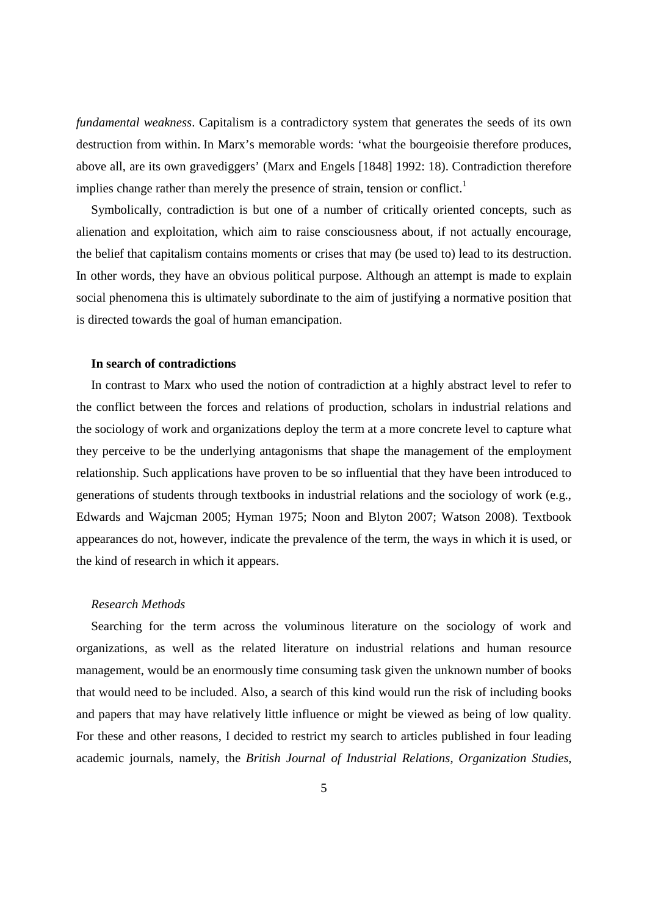*fundamental weakness*. Capitalism is a contradictory system that generates the seeds of its own destruction from within. In Marx's memorable words: 'what the bourgeoisie therefore produces, above all, are its own gravediggers' (Marx and Engels [1848] 1992: 18). Contradiction therefore implies change rather than merely the presence of strain, tension or conflict.<sup>1</sup>

Symbolically, contradiction is but one of a number of critically oriented concepts, such as alienation and exploitation, which aim to raise consciousness about, if not actually encourage, the belief that capitalism contains moments or crises that may (be used to) lead to its destruction. In other words, they have an obvious political purpose. Although an attempt is made to explain social phenomena this is ultimately subordinate to the aim of justifying a normative position that is directed towards the goal of human emancipation.

#### **In search of contradictions**

In contrast to Marx who used the notion of contradiction at a highly abstract level to refer to the conflict between the forces and relations of production, scholars in industrial relations and the sociology of work and organizations deploy the term at a more concrete level to capture what they perceive to be the underlying antagonisms that shape the management of the employment relationship. Such applications have proven to be so influential that they have been introduced to generations of students through textbooks in industrial relations and the sociology of work (e.g., Edwards and Wajcman 2005; Hyman 1975; Noon and Blyton 2007; Watson 2008). Textbook appearances do not, however, indicate the prevalence of the term, the ways in which it is used, or the kind of research in which it appears.

#### *Research Methods*

Searching for the term across the voluminous literature on the sociology of work and organizations, as well as the related literature on industrial relations and human resource management, would be an enormously time consuming task given the unknown number of books that would need to be included. Also, a search of this kind would run the risk of including books and papers that may have relatively little influence or might be viewed as being of low quality. For these and other reasons, I decided to restrict my search to articles published in four leading academic journals, namely, the *British Journal of Industrial Relations*, *Organization Studies*,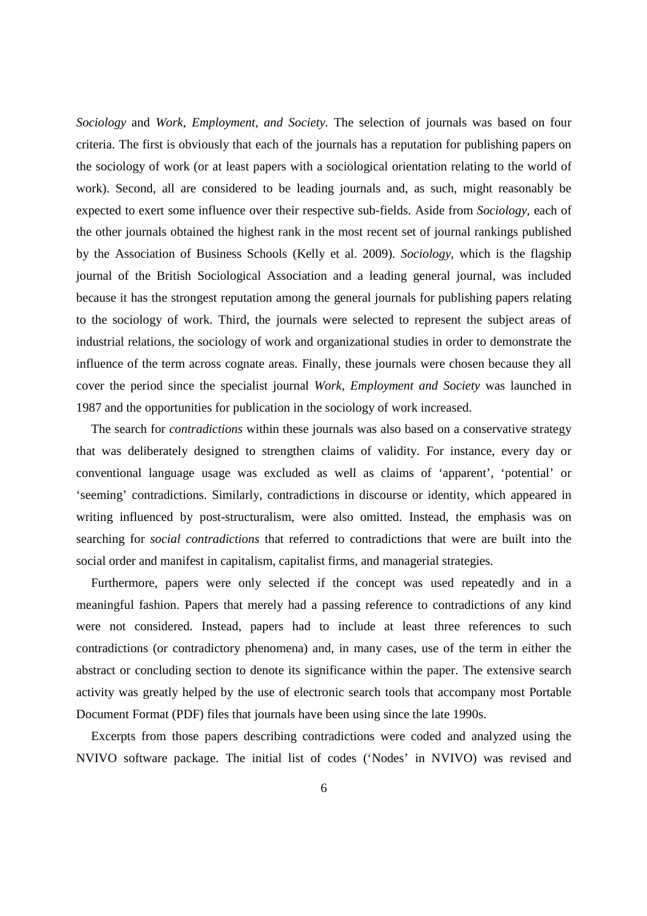*Sociology* and *Work, Employment, and Society*. The selection of journals was based on four criteria. The first is obviously that each of the journals has a reputation for publishing papers on the sociology of work (or at least papers with a sociological orientation relating to the world of work). Second, all are considered to be leading journals and, as such, might reasonably be expected to exert some influence over their respective sub-fields. Aside from *Sociology*, each of the other journals obtained the highest rank in the most recent set of journal rankings published by the Association of Business Schools (Kelly et al. 2009). *Sociology*, which is the flagship journal of the British Sociological Association and a leading general journal, was included because it has the strongest reputation among the general journals for publishing papers relating to the sociology of work. Third, the journals were selected to represent the subject areas of industrial relations, the sociology of work and organizational studies in order to demonstrate the influence of the term across cognate areas. Finally, these journals were chosen because they all cover the period since the specialist journal *Work, Employment and Society* was launched in 1987 and the opportunities for publication in the sociology of work increased.

The search for *contradictions* within these journals was also based on a conservative strategy that was deliberately designed to strengthen claims of validity. For instance, every day or conventional language usage was excluded as well as claims of 'apparent', 'potential' or 'seeming' contradictions. Similarly, contradictions in discourse or identity, which appeared in writing influenced by post-structuralism, were also omitted. Instead, the emphasis was on searching for *social contradictions* that referred to contradictions that were are built into the social order and manifest in capitalism, capitalist firms, and managerial strategies.

Furthermore, papers were only selected if the concept was used repeatedly and in a meaningful fashion. Papers that merely had a passing reference to contradictions of any kind were not considered. Instead, papers had to include at least three references to such contradictions (or contradictory phenomena) and, in many cases, use of the term in either the abstract or concluding section to denote its significance within the paper. The extensive search activity was greatly helped by the use of electronic search tools that accompany most Portable Document Format (PDF) files that journals have been using since the late 1990s.

Excerpts from those papers describing contradictions were coded and analyzed using the NVIVO software package. The initial list of codes ('Nodes' in NVIVO) was revised and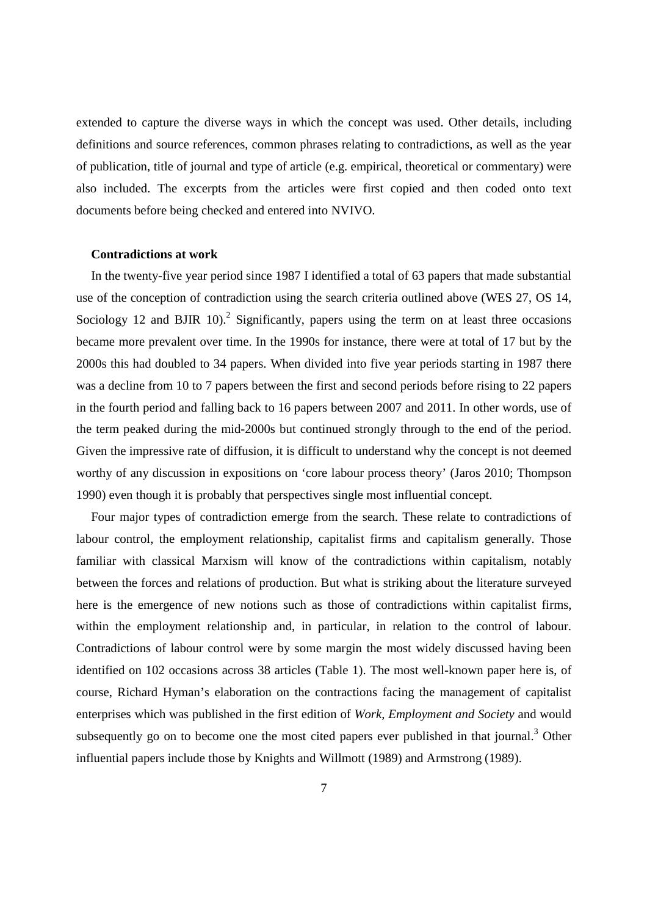extended to capture the diverse ways in which the concept was used. Other details, including definitions and source references, common phrases relating to contradictions, as well as the year of publication, title of journal and type of article (e.g. empirical, theoretical or commentary) were also included. The excerpts from the articles were first copied and then coded onto text documents before being checked and entered into NVIVO.

#### **Contradictions at work**

In the twenty-five year period since 1987 I identified a total of 63 papers that made substantial use of the conception of contradiction using the search criteria outlined above (WES 27, OS 14, Sociology 12 and BJIR 10).<sup>2</sup> Significantly, papers using the term on at least three occasions became more prevalent over time. In the 1990s for instance, there were at total of 17 but by the 2000s this had doubled to 34 papers. When divided into five year periods starting in 1987 there was a decline from 10 to 7 papers between the first and second periods before rising to 22 papers in the fourth period and falling back to 16 papers between 2007 and 2011. In other words, use of the term peaked during the mid-2000s but continued strongly through to the end of the period. Given the impressive rate of diffusion, it is difficult to understand why the concept is not deemed worthy of any discussion in expositions on 'core labour process theory' (Jaros 2010; Thompson 1990) even though it is probably that perspectives single most influential concept.

Four major types of contradiction emerge from the search. These relate to contradictions of labour control, the employment relationship, capitalist firms and capitalism generally. Those familiar with classical Marxism will know of the contradictions within capitalism, notably between the forces and relations of production. But what is striking about the literature surveyed here is the emergence of new notions such as those of contradictions within capitalist firms, within the employment relationship and, in particular, in relation to the control of labour. Contradictions of labour control were by some margin the most widely discussed having been identified on 102 occasions across 38 articles (Table 1). The most well-known paper here is, of course, Richard Hyman's elaboration on the contractions facing the management of capitalist enterprises which was published in the first edition of *Work, Employment and Society* and would subsequently go on to become one the most cited papers ever published in that journal.<sup>3</sup> Other influential papers include those by Knights and Willmott (1989) and Armstrong (1989).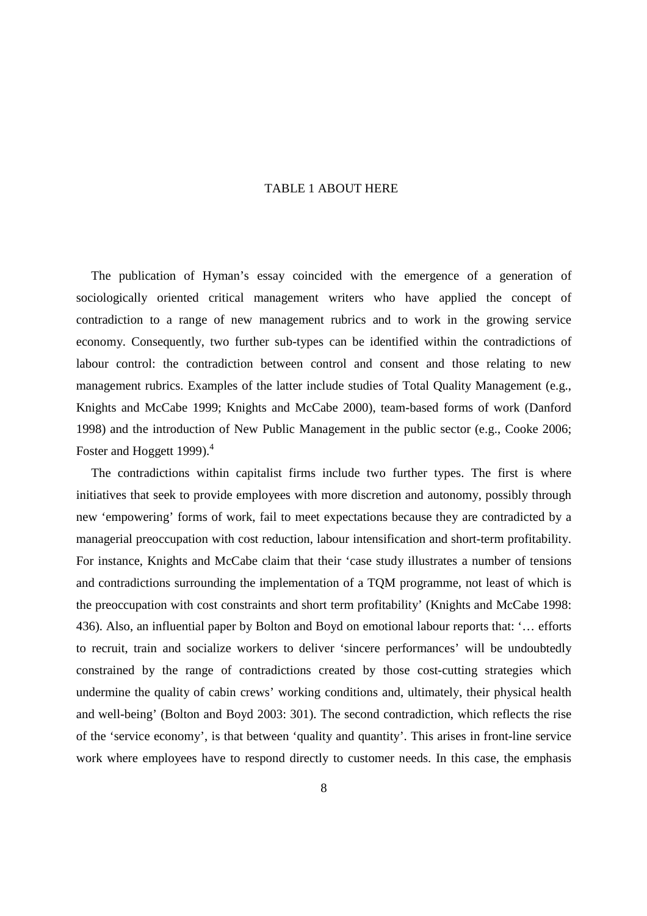#### TABLE 1 ABOUT HERE

The publication of Hyman's essay coincided with the emergence of a generation of sociologically oriented critical management writers who have applied the concept of contradiction to a range of new management rubrics and to work in the growing service economy. Consequently, two further sub-types can be identified within the contradictions of labour control: the contradiction between control and consent and those relating to new management rubrics. Examples of the latter include studies of Total Quality Management (e.g., Knights and McCabe 1999; Knights and McCabe 2000), team-based forms of work (Danford 1998) and the introduction of New Public Management in the public sector (e.g., Cooke 2006; Foster and Hoggett 1999). $<sup>4</sup>$ </sup>

The contradictions within capitalist firms include two further types. The first is where initiatives that seek to provide employees with more discretion and autonomy, possibly through new 'empowering' forms of work, fail to meet expectations because they are contradicted by a managerial preoccupation with cost reduction, labour intensification and short-term profitability. For instance, Knights and McCabe claim that their 'case study illustrates a number of tensions and contradictions surrounding the implementation of a TQM programme, not least of which is the preoccupation with cost constraints and short term profitability' (Knights and McCabe 1998: 436). Also, an influential paper by Bolton and Boyd on emotional labour reports that: '… efforts to recruit, train and socialize workers to deliver 'sincere performances' will be undoubtedly constrained by the range of contradictions created by those cost-cutting strategies which undermine the quality of cabin crews' working conditions and, ultimately, their physical health and well-being' (Bolton and Boyd 2003: 301). The second contradiction, which reflects the rise of the 'service economy', is that between 'quality and quantity'. This arises in front-line service work where employees have to respond directly to customer needs. In this case, the emphasis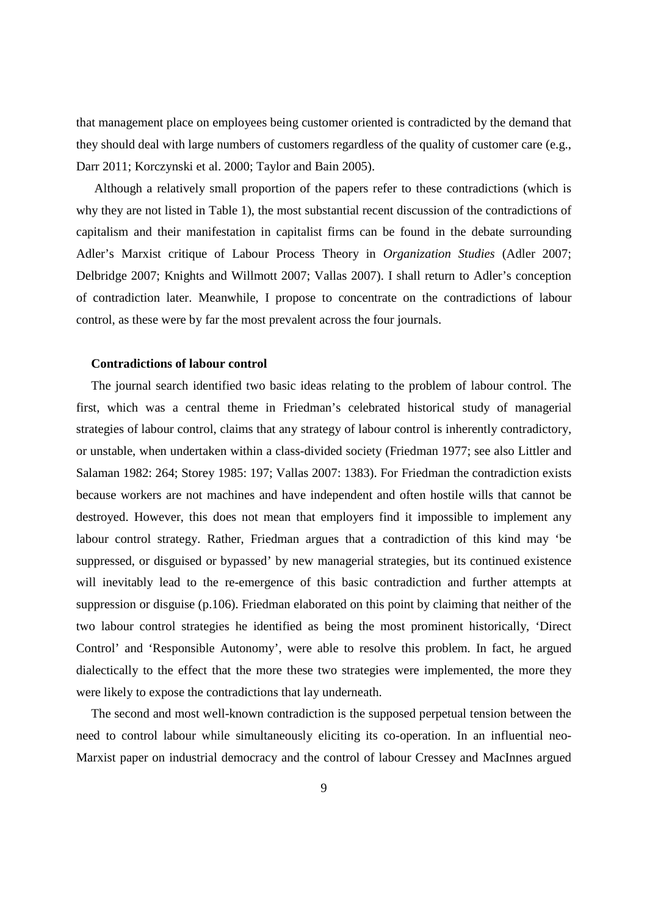that management place on employees being customer oriented is contradicted by the demand that they should deal with large numbers of customers regardless of the quality of customer care (e.g., Darr 2011; Korczynski et al. 2000; Taylor and Bain 2005).

 Although a relatively small proportion of the papers refer to these contradictions (which is why they are not listed in Table 1), the most substantial recent discussion of the contradictions of capitalism and their manifestation in capitalist firms can be found in the debate surrounding Adler's Marxist critique of Labour Process Theory in *Organization Studies* (Adler 2007; Delbridge 2007; Knights and Willmott 2007; Vallas 2007). I shall return to Adler's conception of contradiction later. Meanwhile, I propose to concentrate on the contradictions of labour control, as these were by far the most prevalent across the four journals.

#### **Contradictions of labour control**

The journal search identified two basic ideas relating to the problem of labour control. The first, which was a central theme in Friedman's celebrated historical study of managerial strategies of labour control, claims that any strategy of labour control is inherently contradictory, or unstable, when undertaken within a class-divided society (Friedman 1977; see also Littler and Salaman 1982: 264; Storey 1985: 197; Vallas 2007: 1383). For Friedman the contradiction exists because workers are not machines and have independent and often hostile wills that cannot be destroyed. However, this does not mean that employers find it impossible to implement any labour control strategy. Rather, Friedman argues that a contradiction of this kind may 'be suppressed, or disguised or bypassed' by new managerial strategies, but its continued existence will inevitably lead to the re-emergence of this basic contradiction and further attempts at suppression or disguise (p.106). Friedman elaborated on this point by claiming that neither of the two labour control strategies he identified as being the most prominent historically, 'Direct Control' and 'Responsible Autonomy', were able to resolve this problem. In fact, he argued dialectically to the effect that the more these two strategies were implemented, the more they were likely to expose the contradictions that lay underneath.

The second and most well-known contradiction is the supposed perpetual tension between the need to control labour while simultaneously eliciting its co-operation. In an influential neo-Marxist paper on industrial democracy and the control of labour Cressey and MacInnes argued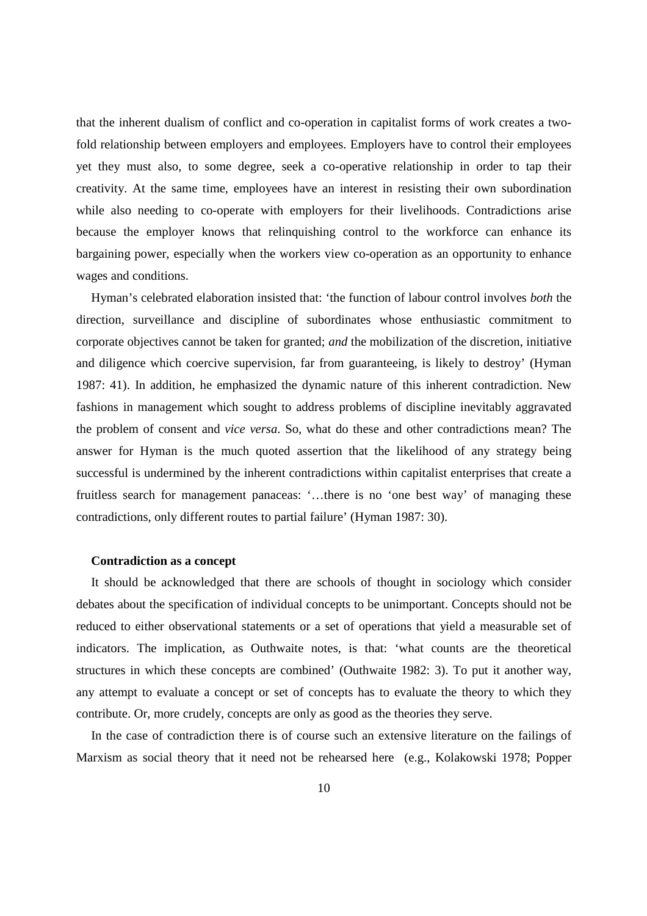that the inherent dualism of conflict and co-operation in capitalist forms of work creates a twofold relationship between employers and employees. Employers have to control their employees yet they must also, to some degree, seek a co-operative relationship in order to tap their creativity. At the same time, employees have an interest in resisting their own subordination while also needing to co-operate with employers for their livelihoods. Contradictions arise because the employer knows that relinquishing control to the workforce can enhance its bargaining power, especially when the workers view co-operation as an opportunity to enhance wages and conditions.

Hyman's celebrated elaboration insisted that: 'the function of labour control involves *both* the direction, surveillance and discipline of subordinates whose enthusiastic commitment to corporate objectives cannot be taken for granted; *and* the mobilization of the discretion, initiative and diligence which coercive supervision, far from guaranteeing, is likely to destroy' (Hyman 1987: 41). In addition, he emphasized the dynamic nature of this inherent contradiction. New fashions in management which sought to address problems of discipline inevitably aggravated the problem of consent and *vice versa*. So, what do these and other contradictions mean? The answer for Hyman is the much quoted assertion that the likelihood of any strategy being successful is undermined by the inherent contradictions within capitalist enterprises that create a fruitless search for management panaceas: '…there is no 'one best way' of managing these contradictions, only different routes to partial failure' (Hyman 1987: 30).

#### **Contradiction as a concept**

It should be acknowledged that there are schools of thought in sociology which consider debates about the specification of individual concepts to be unimportant. Concepts should not be reduced to either observational statements or a set of operations that yield a measurable set of indicators. The implication, as Outhwaite notes, is that: 'what counts are the theoretical structures in which these concepts are combined' (Outhwaite 1982: 3). To put it another way, any attempt to evaluate a concept or set of concepts has to evaluate the theory to which they contribute. Or, more crudely, concepts are only as good as the theories they serve.

In the case of contradiction there is of course such an extensive literature on the failings of Marxism as social theory that it need not be rehearsed here (e.g., Kolakowski 1978; Popper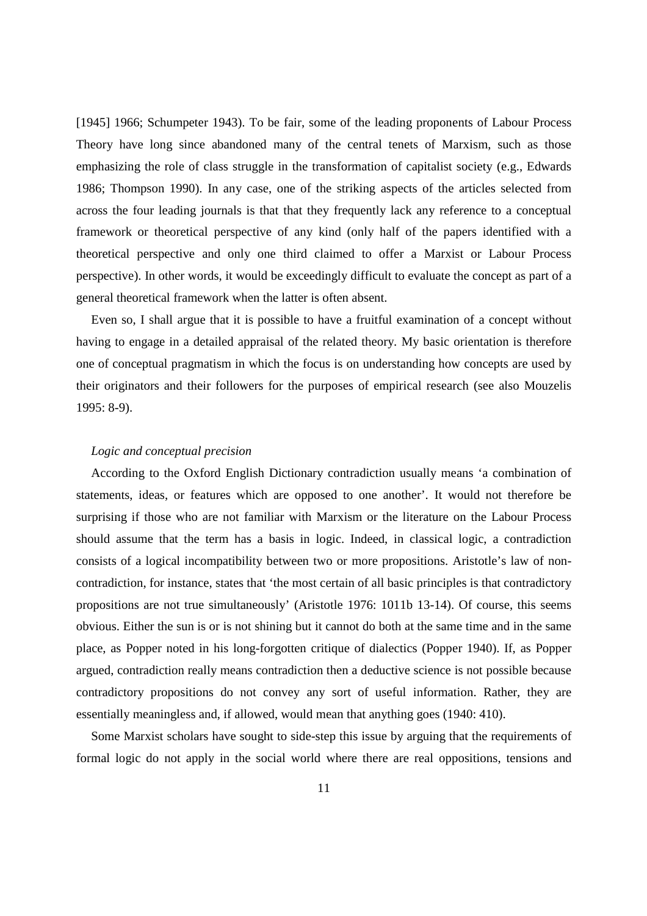[1945] 1966; Schumpeter 1943). To be fair, some of the leading proponents of Labour Process Theory have long since abandoned many of the central tenets of Marxism, such as those emphasizing the role of class struggle in the transformation of capitalist society (e.g., Edwards 1986; Thompson 1990). In any case, one of the striking aspects of the articles selected from across the four leading journals is that that they frequently lack any reference to a conceptual framework or theoretical perspective of any kind (only half of the papers identified with a theoretical perspective and only one third claimed to offer a Marxist or Labour Process perspective). In other words, it would be exceedingly difficult to evaluate the concept as part of a general theoretical framework when the latter is often absent.

Even so, I shall argue that it is possible to have a fruitful examination of a concept without having to engage in a detailed appraisal of the related theory. My basic orientation is therefore one of conceptual pragmatism in which the focus is on understanding how concepts are used by their originators and their followers for the purposes of empirical research (see also Mouzelis 1995: 8-9).

#### *Logic and conceptual precision*

According to the Oxford English Dictionary contradiction usually means 'a combination of statements, ideas, or features which are opposed to one another'. It would not therefore be surprising if those who are not familiar with Marxism or the literature on the Labour Process should assume that the term has a basis in logic. Indeed, in classical logic, a contradiction consists of a logical incompatibility between two or more propositions. Aristotle's law of noncontradiction, for instance, states that 'the most certain of all basic principles is that contradictory propositions are not true simultaneously' (Aristotle 1976: 1011b 13-14). Of course, this seems obvious. Either the sun is or is not shining but it cannot do both at the same time and in the same place, as Popper noted in his long-forgotten critique of dialectics (Popper 1940). If, as Popper argued, contradiction really means contradiction then a deductive science is not possible because contradictory propositions do not convey any sort of useful information. Rather, they are essentially meaningless and, if allowed, would mean that anything goes (1940: 410).

Some Marxist scholars have sought to side-step this issue by arguing that the requirements of formal logic do not apply in the social world where there are real oppositions, tensions and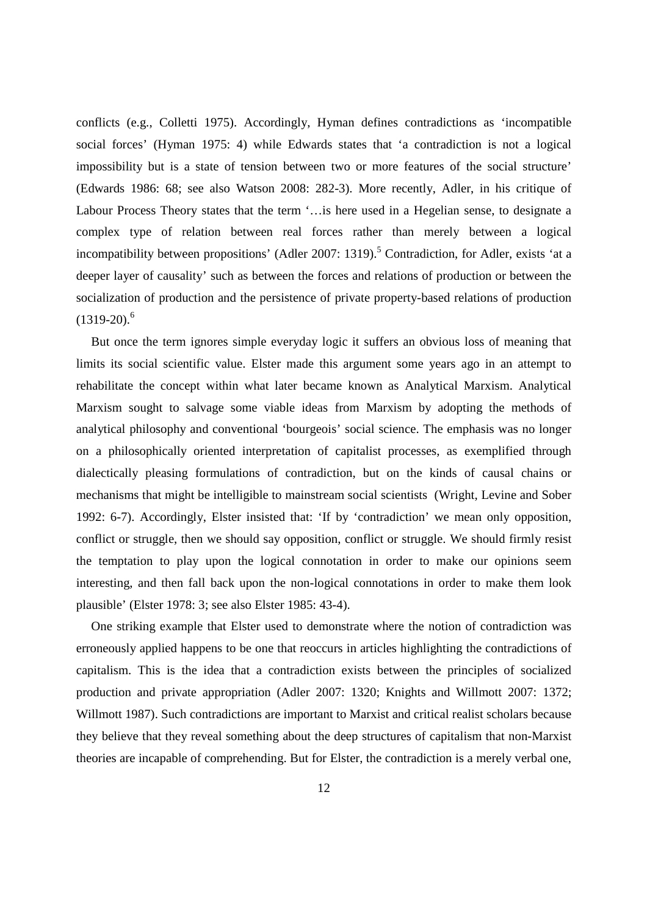conflicts (e.g., Colletti 1975). Accordingly, Hyman defines contradictions as 'incompatible social forces' (Hyman 1975: 4) while Edwards states that 'a contradiction is not a logical impossibility but is a state of tension between two or more features of the social structure' (Edwards 1986: 68; see also Watson 2008: 282-3). More recently, Adler, in his critique of Labour Process Theory states that the term '…is here used in a Hegelian sense, to designate a complex type of relation between real forces rather than merely between a logical incompatibility between propositions' (Adler 2007: 1319).<sup>5</sup> Contradiction, for Adler, exists 'at a deeper layer of causality' such as between the forces and relations of production or between the socialization of production and the persistence of private property-based relations of production  $(1319-20).$ <sup>6</sup>

But once the term ignores simple everyday logic it suffers an obvious loss of meaning that limits its social scientific value. Elster made this argument some years ago in an attempt to rehabilitate the concept within what later became known as Analytical Marxism. Analytical Marxism sought to salvage some viable ideas from Marxism by adopting the methods of analytical philosophy and conventional 'bourgeois' social science. The emphasis was no longer on a philosophically oriented interpretation of capitalist processes, as exemplified through dialectically pleasing formulations of contradiction, but on the kinds of causal chains or mechanisms that might be intelligible to mainstream social scientists (Wright, Levine and Sober 1992: 6-7). Accordingly, Elster insisted that: 'If by 'contradiction' we mean only opposition, conflict or struggle, then we should say opposition, conflict or struggle. We should firmly resist the temptation to play upon the logical connotation in order to make our opinions seem interesting, and then fall back upon the non-logical connotations in order to make them look plausible' (Elster 1978: 3; see also Elster 1985: 43-4).

One striking example that Elster used to demonstrate where the notion of contradiction was erroneously applied happens to be one that reoccurs in articles highlighting the contradictions of capitalism. This is the idea that a contradiction exists between the principles of socialized production and private appropriation (Adler 2007: 1320; Knights and Willmott 2007: 1372; Willmott 1987). Such contradictions are important to Marxist and critical realist scholars because they believe that they reveal something about the deep structures of capitalism that non-Marxist theories are incapable of comprehending. But for Elster, the contradiction is a merely verbal one,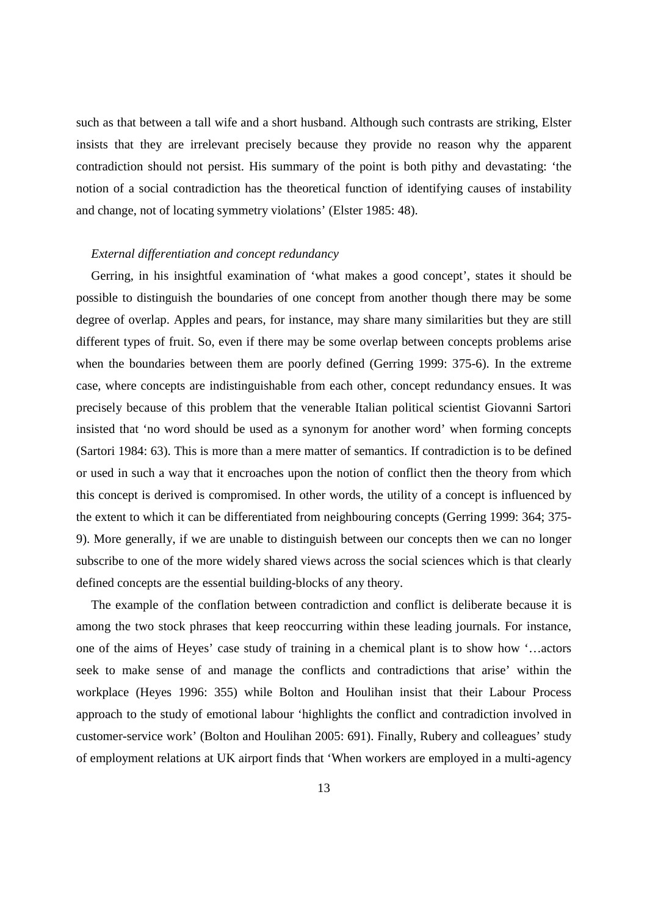such as that between a tall wife and a short husband. Although such contrasts are striking, Elster insists that they are irrelevant precisely because they provide no reason why the apparent contradiction should not persist. His summary of the point is both pithy and devastating: 'the notion of a social contradiction has the theoretical function of identifying causes of instability and change, not of locating symmetry violations' (Elster 1985: 48).

#### *External differentiation and concept redundancy*

Gerring, in his insightful examination of 'what makes a good concept', states it should be possible to distinguish the boundaries of one concept from another though there may be some degree of overlap. Apples and pears, for instance, may share many similarities but they are still different types of fruit. So, even if there may be some overlap between concepts problems arise when the boundaries between them are poorly defined (Gerring 1999: 375-6). In the extreme case, where concepts are indistinguishable from each other, concept redundancy ensues. It was precisely because of this problem that the venerable Italian political scientist Giovanni Sartori insisted that 'no word should be used as a synonym for another word' when forming concepts (Sartori 1984: 63). This is more than a mere matter of semantics. If contradiction is to be defined or used in such a way that it encroaches upon the notion of conflict then the theory from which this concept is derived is compromised. In other words, the utility of a concept is influenced by the extent to which it can be differentiated from neighbouring concepts (Gerring 1999: 364; 375- 9). More generally, if we are unable to distinguish between our concepts then we can no longer subscribe to one of the more widely shared views across the social sciences which is that clearly defined concepts are the essential building-blocks of any theory.

The example of the conflation between contradiction and conflict is deliberate because it is among the two stock phrases that keep reoccurring within these leading journals. For instance, one of the aims of Heyes' case study of training in a chemical plant is to show how '…actors seek to make sense of and manage the conflicts and contradictions that arise' within the workplace (Heyes 1996: 355) while Bolton and Houlihan insist that their Labour Process approach to the study of emotional labour 'highlights the conflict and contradiction involved in customer-service work' (Bolton and Houlihan 2005: 691). Finally, Rubery and colleagues' study of employment relations at UK airport finds that 'When workers are employed in a multi-agency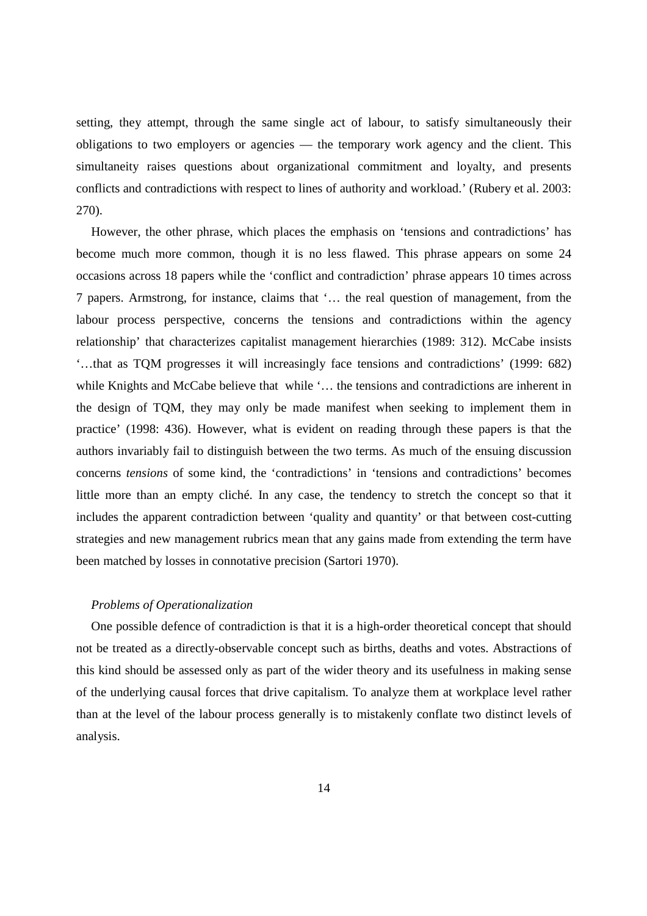setting, they attempt, through the same single act of labour, to satisfy simultaneously their obligations to two employers or agencies — the temporary work agency and the client. This simultaneity raises questions about organizational commitment and loyalty, and presents conflicts and contradictions with respect to lines of authority and workload.' (Rubery et al. 2003: 270).

However, the other phrase, which places the emphasis on 'tensions and contradictions' has become much more common, though it is no less flawed. This phrase appears on some 24 occasions across 18 papers while the 'conflict and contradiction' phrase appears 10 times across 7 papers. Armstrong, for instance, claims that '… the real question of management, from the labour process perspective, concerns the tensions and contradictions within the agency relationship' that characterizes capitalist management hierarchies (1989: 312). McCabe insists '…that as TQM progresses it will increasingly face tensions and contradictions' (1999: 682) while Knights and McCabe believe that while '... the tensions and contradictions are inherent in the design of TQM, they may only be made manifest when seeking to implement them in practice' (1998: 436). However, what is evident on reading through these papers is that the authors invariably fail to distinguish between the two terms. As much of the ensuing discussion concerns *tensions* of some kind, the 'contradictions' in 'tensions and contradictions' becomes little more than an empty cliché. In any case, the tendency to stretch the concept so that it includes the apparent contradiction between 'quality and quantity' or that between cost-cutting strategies and new management rubrics mean that any gains made from extending the term have been matched by losses in connotative precision (Sartori 1970).

#### *Problems of Operationalization*

One possible defence of contradiction is that it is a high-order theoretical concept that should not be treated as a directly-observable concept such as births, deaths and votes. Abstractions of this kind should be assessed only as part of the wider theory and its usefulness in making sense of the underlying causal forces that drive capitalism. To analyze them at workplace level rather than at the level of the labour process generally is to mistakenly conflate two distinct levels of analysis.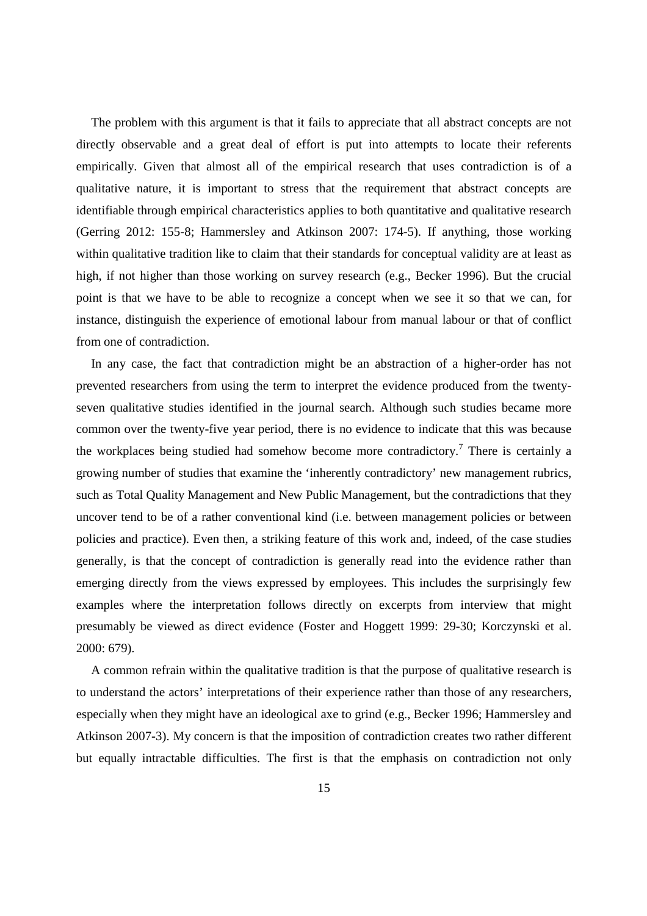The problem with this argument is that it fails to appreciate that all abstract concepts are not directly observable and a great deal of effort is put into attempts to locate their referents empirically. Given that almost all of the empirical research that uses contradiction is of a qualitative nature, it is important to stress that the requirement that abstract concepts are identifiable through empirical characteristics applies to both quantitative and qualitative research (Gerring 2012: 155-8; Hammersley and Atkinson 2007: 174-5). If anything, those working within qualitative tradition like to claim that their standards for conceptual validity are at least as high, if not higher than those working on survey research (e.g., Becker 1996). But the crucial point is that we have to be able to recognize a concept when we see it so that we can, for instance, distinguish the experience of emotional labour from manual labour or that of conflict from one of contradiction.

In any case, the fact that contradiction might be an abstraction of a higher-order has not prevented researchers from using the term to interpret the evidence produced from the twentyseven qualitative studies identified in the journal search. Although such studies became more common over the twenty-five year period, there is no evidence to indicate that this was because the workplaces being studied had somehow become more contradictory.<sup>7</sup> There is certainly a growing number of studies that examine the 'inherently contradictory' new management rubrics, such as Total Quality Management and New Public Management, but the contradictions that they uncover tend to be of a rather conventional kind (i.e. between management policies or between policies and practice). Even then, a striking feature of this work and, indeed, of the case studies generally, is that the concept of contradiction is generally read into the evidence rather than emerging directly from the views expressed by employees. This includes the surprisingly few examples where the interpretation follows directly on excerpts from interview that might presumably be viewed as direct evidence (Foster and Hoggett 1999: 29-30; Korczynski et al. 2000: 679).

A common refrain within the qualitative tradition is that the purpose of qualitative research is to understand the actors' interpretations of their experience rather than those of any researchers, especially when they might have an ideological axe to grind (e.g., Becker 1996; Hammersley and Atkinson 2007-3). My concern is that the imposition of contradiction creates two rather different but equally intractable difficulties. The first is that the emphasis on contradiction not only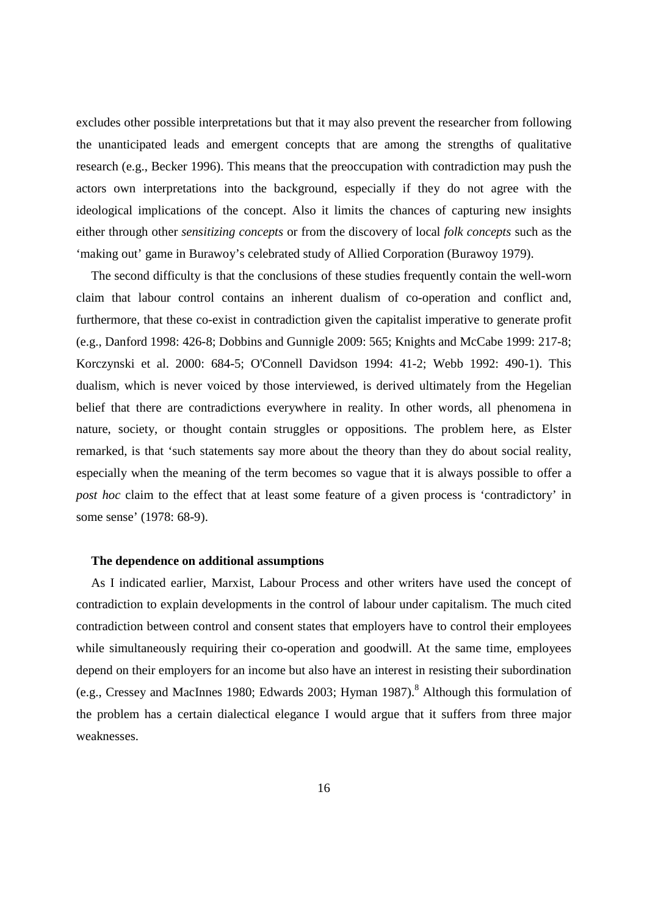excludes other possible interpretations but that it may also prevent the researcher from following the unanticipated leads and emergent concepts that are among the strengths of qualitative research (e.g., Becker 1996). This means that the preoccupation with contradiction may push the actors own interpretations into the background, especially if they do not agree with the ideological implications of the concept. Also it limits the chances of capturing new insights either through other *sensitizing concepts* or from the discovery of local *folk concepts* such as the 'making out' game in Burawoy's celebrated study of Allied Corporation (Burawoy 1979).

The second difficulty is that the conclusions of these studies frequently contain the well-worn claim that labour control contains an inherent dualism of co-operation and conflict and, furthermore, that these co-exist in contradiction given the capitalist imperative to generate profit (e.g., Danford 1998: 426-8; Dobbins and Gunnigle 2009: 565; Knights and McCabe 1999: 217-8; Korczynski et al. 2000: 684-5; O'Connell Davidson 1994: 41-2; Webb 1992: 490-1). This dualism, which is never voiced by those interviewed, is derived ultimately from the Hegelian belief that there are contradictions everywhere in reality. In other words, all phenomena in nature, society, or thought contain struggles or oppositions. The problem here, as Elster remarked, is that 'such statements say more about the theory than they do about social reality, especially when the meaning of the term becomes so vague that it is always possible to offer a *post hoc* claim to the effect that at least some feature of a given process is 'contradictory' in some sense' (1978: 68-9).

#### **The dependence on additional assumptions**

As I indicated earlier, Marxist, Labour Process and other writers have used the concept of contradiction to explain developments in the control of labour under capitalism. The much cited contradiction between control and consent states that employers have to control their employees while simultaneously requiring their co-operation and goodwill. At the same time, employees depend on their employers for an income but also have an interest in resisting their subordination (e.g., Cressey and MacInnes 1980; Edwards 2003; Hyman 1987).<sup>8</sup> Although this formulation of the problem has a certain dialectical elegance I would argue that it suffers from three major weaknesses.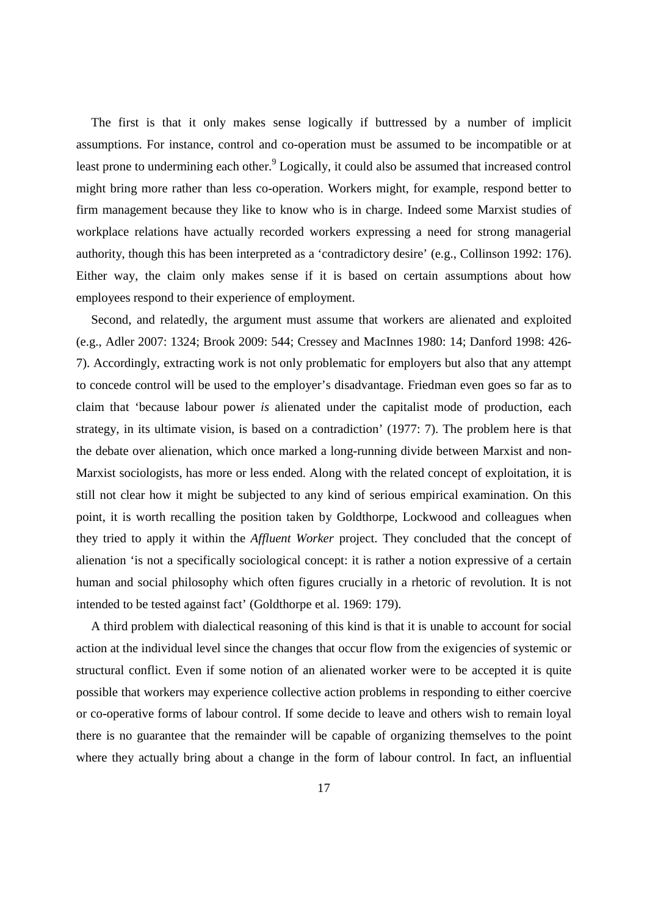The first is that it only makes sense logically if buttressed by a number of implicit assumptions. For instance, control and co-operation must be assumed to be incompatible or at least prone to undermining each other.<sup>9</sup> Logically, it could also be assumed that increased control might bring more rather than less co-operation. Workers might, for example, respond better to firm management because they like to know who is in charge. Indeed some Marxist studies of workplace relations have actually recorded workers expressing a need for strong managerial authority, though this has been interpreted as a 'contradictory desire' (e.g., Collinson 1992: 176). Either way, the claim only makes sense if it is based on certain assumptions about how employees respond to their experience of employment.

Second, and relatedly, the argument must assume that workers are alienated and exploited (e.g., Adler 2007: 1324; Brook 2009: 544; Cressey and MacInnes 1980: 14; Danford 1998: 426- 7). Accordingly, extracting work is not only problematic for employers but also that any attempt to concede control will be used to the employer's disadvantage. Friedman even goes so far as to claim that 'because labour power *is* alienated under the capitalist mode of production, each strategy, in its ultimate vision, is based on a contradiction' (1977: 7). The problem here is that the debate over alienation, which once marked a long-running divide between Marxist and non-Marxist sociologists, has more or less ended. Along with the related concept of exploitation, it is still not clear how it might be subjected to any kind of serious empirical examination. On this point, it is worth recalling the position taken by Goldthorpe, Lockwood and colleagues when they tried to apply it within the *Affluent Worker* project. They concluded that the concept of alienation 'is not a specifically sociological concept: it is rather a notion expressive of a certain human and social philosophy which often figures crucially in a rhetoric of revolution. It is not intended to be tested against fact' (Goldthorpe et al. 1969: 179).

A third problem with dialectical reasoning of this kind is that it is unable to account for social action at the individual level since the changes that occur flow from the exigencies of systemic or structural conflict. Even if some notion of an alienated worker were to be accepted it is quite possible that workers may experience collective action problems in responding to either coercive or co-operative forms of labour control. If some decide to leave and others wish to remain loyal there is no guarantee that the remainder will be capable of organizing themselves to the point where they actually bring about a change in the form of labour control. In fact, an influential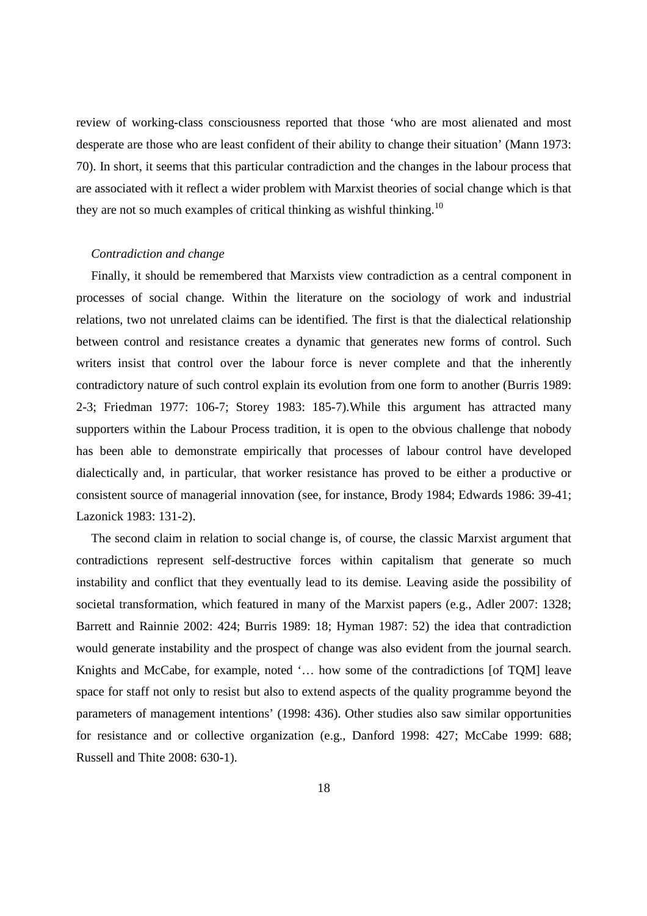review of working-class consciousness reported that those 'who are most alienated and most desperate are those who are least confident of their ability to change their situation' (Mann 1973: 70). In short, it seems that this particular contradiction and the changes in the labour process that are associated with it reflect a wider problem with Marxist theories of social change which is that they are not so much examples of critical thinking as wishful thinking.<sup>10</sup>

#### *Contradiction and change*

Finally, it should be remembered that Marxists view contradiction as a central component in processes of social change. Within the literature on the sociology of work and industrial relations, two not unrelated claims can be identified. The first is that the dialectical relationship between control and resistance creates a dynamic that generates new forms of control. Such writers insist that control over the labour force is never complete and that the inherently contradictory nature of such control explain its evolution from one form to another (Burris 1989: 2-3; Friedman 1977: 106-7; Storey 1983: 185-7).While this argument has attracted many supporters within the Labour Process tradition, it is open to the obvious challenge that nobody has been able to demonstrate empirically that processes of labour control have developed dialectically and, in particular, that worker resistance has proved to be either a productive or consistent source of managerial innovation (see, for instance, Brody 1984; Edwards 1986: 39-41; Lazonick 1983: 131-2).

The second claim in relation to social change is, of course, the classic Marxist argument that contradictions represent self-destructive forces within capitalism that generate so much instability and conflict that they eventually lead to its demise. Leaving aside the possibility of societal transformation, which featured in many of the Marxist papers (e.g., Adler 2007: 1328; Barrett and Rainnie 2002: 424; Burris 1989: 18; Hyman 1987: 52) the idea that contradiction would generate instability and the prospect of change was also evident from the journal search. Knights and McCabe, for example, noted '… how some of the contradictions [of TQM] leave space for staff not only to resist but also to extend aspects of the quality programme beyond the parameters of management intentions' (1998: 436). Other studies also saw similar opportunities for resistance and or collective organization (e.g., Danford 1998: 427; McCabe 1999: 688; Russell and Thite 2008: 630-1).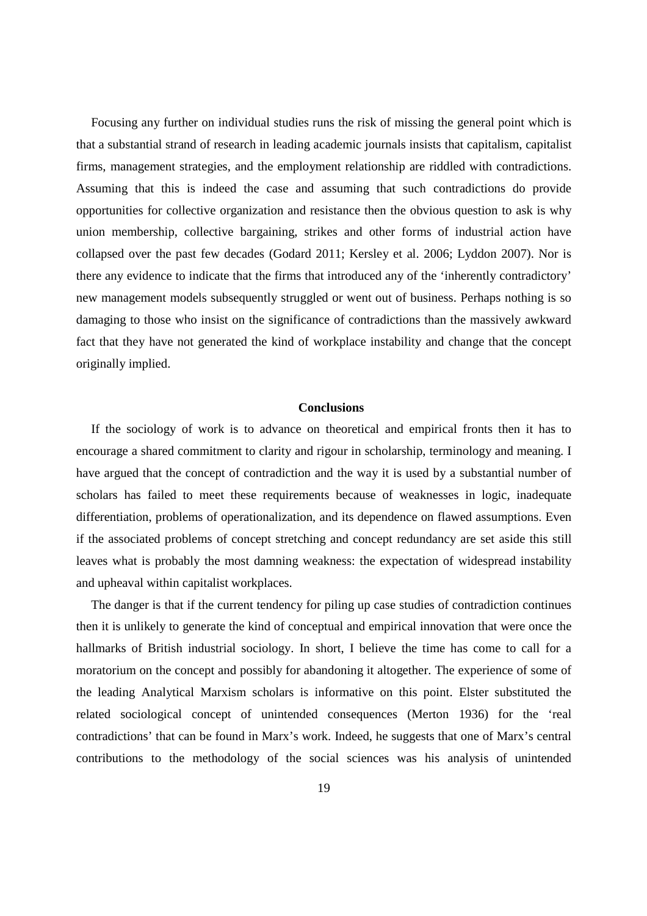Focusing any further on individual studies runs the risk of missing the general point which is that a substantial strand of research in leading academic journals insists that capitalism, capitalist firms, management strategies, and the employment relationship are riddled with contradictions. Assuming that this is indeed the case and assuming that such contradictions do provide opportunities for collective organization and resistance then the obvious question to ask is why union membership, collective bargaining, strikes and other forms of industrial action have collapsed over the past few decades (Godard 2011; Kersley et al. 2006; Lyddon 2007). Nor is there any evidence to indicate that the firms that introduced any of the 'inherently contradictory' new management models subsequently struggled or went out of business. Perhaps nothing is so damaging to those who insist on the significance of contradictions than the massively awkward fact that they have not generated the kind of workplace instability and change that the concept originally implied.

#### **Conclusions**

If the sociology of work is to advance on theoretical and empirical fronts then it has to encourage a shared commitment to clarity and rigour in scholarship, terminology and meaning. I have argued that the concept of contradiction and the way it is used by a substantial number of scholars has failed to meet these requirements because of weaknesses in logic, inadequate differentiation, problems of operationalization, and its dependence on flawed assumptions. Even if the associated problems of concept stretching and concept redundancy are set aside this still leaves what is probably the most damning weakness: the expectation of widespread instability and upheaval within capitalist workplaces.

The danger is that if the current tendency for piling up case studies of contradiction continues then it is unlikely to generate the kind of conceptual and empirical innovation that were once the hallmarks of British industrial sociology. In short, I believe the time has come to call for a moratorium on the concept and possibly for abandoning it altogether. The experience of some of the leading Analytical Marxism scholars is informative on this point. Elster substituted the related sociological concept of unintended consequences (Merton 1936) for the 'real contradictions' that can be found in Marx's work. Indeed, he suggests that one of Marx's central contributions to the methodology of the social sciences was his analysis of unintended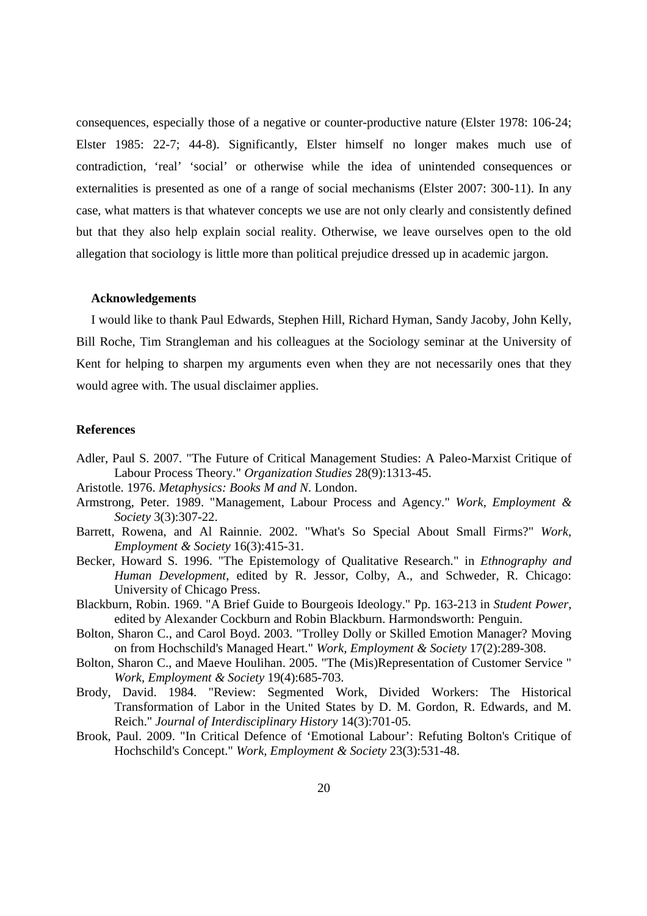consequences, especially those of a negative or counter-productive nature (Elster 1978: 106-24; Elster 1985: 22-7; 44-8). Significantly, Elster himself no longer makes much use of contradiction, 'real' 'social' or otherwise while the idea of unintended consequences or externalities is presented as one of a range of social mechanisms (Elster 2007: 300-11). In any case, what matters is that whatever concepts we use are not only clearly and consistently defined but that they also help explain social reality. Otherwise, we leave ourselves open to the old allegation that sociology is little more than political prejudice dressed up in academic jargon.

#### **Acknowledgements**

I would like to thank Paul Edwards, Stephen Hill, Richard Hyman, Sandy Jacoby, John Kelly, Bill Roche, Tim Strangleman and his colleagues at the Sociology seminar at the University of Kent for helping to sharpen my arguments even when they are not necessarily ones that they would agree with. The usual disclaimer applies.

#### **References**

- Adler, Paul S. 2007. "The Future of Critical Management Studies: A Paleo-Marxist Critique of Labour Process Theory." *Organization Studies* 28(9):1313-45.
- Aristotle. 1976. *Metaphysics: Books M and N*. London.
- Armstrong, Peter. 1989. "Management, Labour Process and Agency." *Work, Employment & Society* 3(3):307-22.
- Barrett, Rowena, and Al Rainnie. 2002. "What's So Special About Small Firms?" *Work, Employment & Society* 16(3):415-31.
- Becker, Howard S. 1996. "The Epistemology of Qualitative Research." in *Ethnography and Human Development*, edited by R. Jessor, Colby, A., and Schweder, R. Chicago: University of Chicago Press.
- Blackburn, Robin. 1969. "A Brief Guide to Bourgeois Ideology." Pp. 163-213 in *Student Power*, edited by Alexander Cockburn and Robin Blackburn. Harmondsworth: Penguin.
- Bolton, Sharon C., and Carol Boyd. 2003. "Trolley Dolly or Skilled Emotion Manager? Moving on from Hochschild's Managed Heart." *Work, Employment & Society* 17(2):289-308.
- Bolton, Sharon C., and Maeve Houlihan. 2005. "The (Mis)Representation of Customer Service " *Work, Employment & Society* 19(4):685-703.
- Brody, David. 1984. "Review: Segmented Work, Divided Workers: The Historical Transformation of Labor in the United States by D. M. Gordon, R. Edwards, and M. Reich." *Journal of Interdisciplinary History* 14(3):701-05.
- Brook, Paul. 2009. "In Critical Defence of 'Emotional Labour': Refuting Bolton's Critique of Hochschild's Concept." *Work, Employment & Society* 23(3):531-48.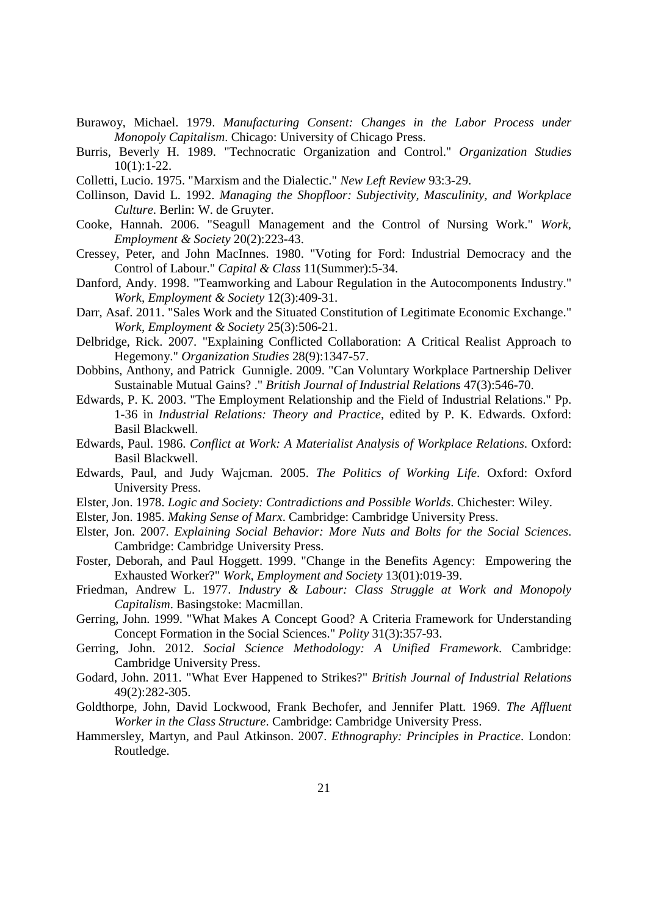- Burawoy, Michael. 1979. *Manufacturing Consent: Changes in the Labor Process under Monopoly Capitalism*. Chicago: University of Chicago Press.
- Burris, Beverly H. 1989. "Technocratic Organization and Control." *Organization Studies*  $10(1):1-22.$
- Colletti, Lucio. 1975. "Marxism and the Dialectic." *New Left Review* 93:3-29.
- Collinson, David L. 1992. *Managing the Shopfloor: Subjectivity, Masculinity, and Workplace Culture*. Berlin: W. de Gruyter.
- Cooke, Hannah. 2006. "Seagull Management and the Control of Nursing Work." *Work, Employment & Society* 20(2):223-43.
- Cressey, Peter, and John MacInnes. 1980. "Voting for Ford: Industrial Democracy and the Control of Labour." *Capital & Class* 11(Summer):5-34.
- Danford, Andy. 1998. "Teamworking and Labour Regulation in the Autocomponents Industry." *Work, Employment & Society* 12(3):409-31.
- Darr, Asaf. 2011. "Sales Work and the Situated Constitution of Legitimate Economic Exchange." *Work, Employment & Society* 25(3):506-21.
- Delbridge, Rick. 2007. "Explaining Conflicted Collaboration: A Critical Realist Approach to Hegemony." *Organization Studies* 28(9):1347-57.
- Dobbins, Anthony, and Patrick Gunnigle. 2009. "Can Voluntary Workplace Partnership Deliver Sustainable Mutual Gains? ." *British Journal of Industrial Relations* 47(3):546-70.
- Edwards, P. K. 2003. "The Employment Relationship and the Field of Industrial Relations." Pp. 1-36 in *Industrial Relations: Theory and Practice*, edited by P. K. Edwards. Oxford: Basil Blackwell.
- Edwards, Paul. 1986. *Conflict at Work: A Materialist Analysis of Workplace Relations*. Oxford: Basil Blackwell.
- Edwards, Paul, and Judy Wajcman. 2005. *The Politics of Working Life*. Oxford: Oxford University Press.
- Elster, Jon. 1978. *Logic and Society: Contradictions and Possible Worlds*. Chichester: Wiley.
- Elster, Jon. 1985. *Making Sense of Marx*. Cambridge: Cambridge University Press.
- Elster, Jon. 2007. *Explaining Social Behavior: More Nuts and Bolts for the Social Sciences*. Cambridge: Cambridge University Press.
- Foster, Deborah, and Paul Hoggett. 1999. "Change in the Benefits Agency: Empowering the Exhausted Worker?" *Work, Employment and Society* 13(01):019-39.
- Friedman, Andrew L. 1977. *Industry & Labour: Class Struggle at Work and Monopoly Capitalism*. Basingstoke: Macmillan.
- Gerring, John. 1999. "What Makes A Concept Good? A Criteria Framework for Understanding Concept Formation in the Social Sciences." *Polity* 31(3):357-93.
- Gerring, John. 2012. *Social Science Methodology: A Unified Framework*. Cambridge: Cambridge University Press.
- Godard, John. 2011. "What Ever Happened to Strikes?" *British Journal of Industrial Relations* 49(2):282-305.
- Goldthorpe, John, David Lockwood, Frank Bechofer, and Jennifer Platt. 1969. *The Affluent Worker in the Class Structure*. Cambridge: Cambridge University Press.
- Hammersley, Martyn, and Paul Atkinson. 2007. *Ethnography: Principles in Practice*. London: Routledge.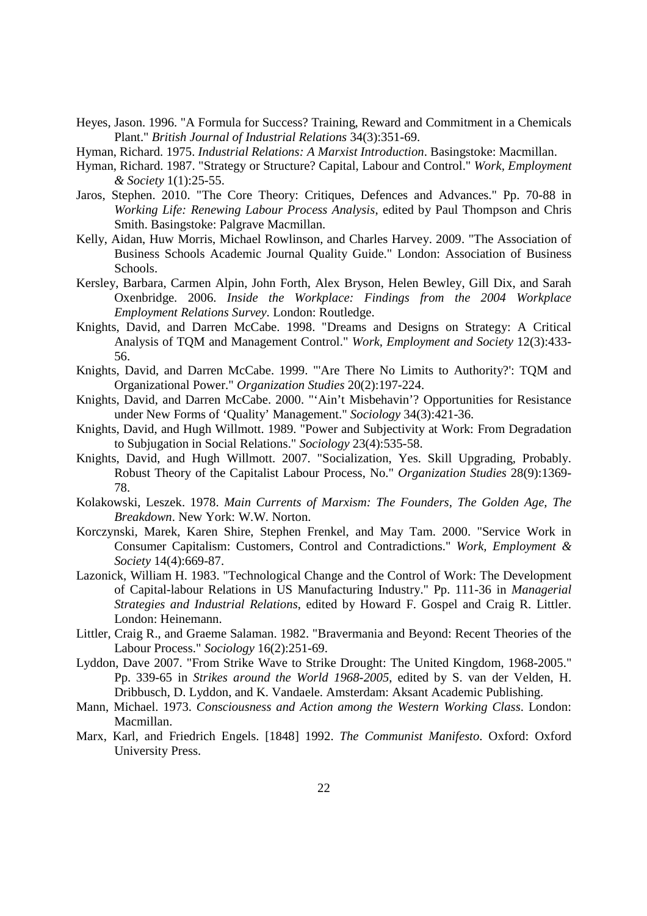- Heyes, Jason. 1996. "A Formula for Success? Training, Reward and Commitment in a Chemicals Plant." *British Journal of Industrial Relations* 34(3):351-69.
- Hyman, Richard. 1975. *Industrial Relations: A Marxist Introduction*. Basingstoke: Macmillan.
- Hyman, Richard. 1987. "Strategy or Structure? Capital, Labour and Control." *Work, Employment & Society* 1(1):25-55.
- Jaros, Stephen. 2010. "The Core Theory: Critiques, Defences and Advances." Pp. 70-88 in *Working Life: Renewing Labour Process Analysis*, edited by Paul Thompson and Chris Smith. Basingstoke: Palgrave Macmillan.
- Kelly, Aidan, Huw Morris, Michael Rowlinson, and Charles Harvey. 2009. "The Association of Business Schools Academic Journal Quality Guide." London: Association of Business Schools.
- Kersley, Barbara, Carmen Alpin, John Forth, Alex Bryson, Helen Bewley, Gill Dix, and Sarah Oxenbridge. 2006. *Inside the Workplace: Findings from the 2004 Workplace Employment Relations Survey*. London: Routledge.
- Knights, David, and Darren McCabe. 1998. "Dreams and Designs on Strategy: A Critical Analysis of TQM and Management Control." *Work, Employment and Society* 12(3):433- 56.
- Knights, David, and Darren McCabe. 1999. "'Are There No Limits to Authority?': TQM and Organizational Power." *Organization Studies* 20(2):197-224.
- Knights, David, and Darren McCabe. 2000. "'Ain't Misbehavin'? Opportunities for Resistance under New Forms of 'Quality' Management." *Sociology* 34(3):421-36.
- Knights, David, and Hugh Willmott. 1989. "Power and Subjectivity at Work: From Degradation to Subjugation in Social Relations." *Sociology* 23(4):535-58.
- Knights, David, and Hugh Willmott. 2007. "Socialization, Yes. Skill Upgrading, Probably. Robust Theory of the Capitalist Labour Process, No." *Organization Studies* 28(9):1369- 78.
- Kolakowski, Leszek. 1978. *Main Currents of Marxism: The Founders, The Golden Age, The Breakdown*. New York: W.W. Norton.
- Korczynski, Marek, Karen Shire, Stephen Frenkel, and May Tam. 2000. "Service Work in Consumer Capitalism: Customers, Control and Contradictions." *Work, Employment & Society* 14(4):669-87.
- Lazonick, William H. 1983. "Technological Change and the Control of Work: The Development of Capital-labour Relations in US Manufacturing Industry." Pp. 111-36 in *Managerial Strategies and Industrial Relations*, edited by Howard F. Gospel and Craig R. Littler. London: Heinemann.
- Littler, Craig R., and Graeme Salaman. 1982. "Bravermania and Beyond: Recent Theories of the Labour Process." *Sociology* 16(2):251-69.
- Lyddon, Dave 2007. "From Strike Wave to Strike Drought: The United Kingdom, 1968-2005." Pp. 339-65 in *Strikes around the World 1968-2005*, edited by S. van der Velden, H. Dribbusch, D. Lyddon, and K. Vandaele. Amsterdam: Aksant Academic Publishing.
- Mann, Michael. 1973. *Consciousness and Action among the Western Working Class*. London: Macmillan.
- Marx, Karl, and Friedrich Engels. [1848] 1992. *The Communist Manifesto*. Oxford: Oxford University Press.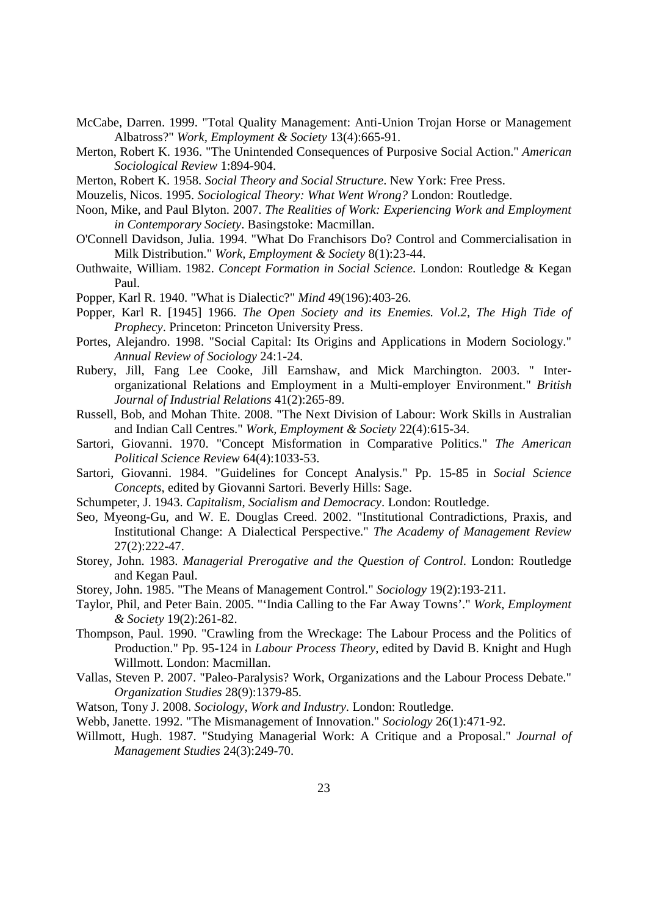- McCabe, Darren. 1999. "Total Quality Management: Anti-Union Trojan Horse or Management Albatross?" *Work, Employment & Society* 13(4):665-91.
- Merton, Robert K. 1936. "The Unintended Consequences of Purposive Social Action." *American Sociological Review* 1:894-904.
- Merton, Robert K. 1958. *Social Theory and Social Structure*. New York: Free Press.
- Mouzelis, Nicos. 1995. *Sociological Theory: What Went Wrong?* London: Routledge.
- Noon, Mike, and Paul Blyton. 2007. *The Realities of Work: Experiencing Work and Employment in Contemporary Society*. Basingstoke: Macmillan.
- O'Connell Davidson, Julia. 1994. "What Do Franchisors Do? Control and Commercialisation in Milk Distribution." *Work, Employment & Society* 8(1):23-44.
- Outhwaite, William. 1982. *Concept Formation in Social Science*. London: Routledge & Kegan Paul.
- Popper, Karl R. 1940. "What is Dialectic?" *Mind* 49(196):403-26.
- Popper, Karl R. [1945] 1966. *The Open Society and its Enemies. Vol.2, The High Tide of Prophecy*. Princeton: Princeton University Press.
- Portes, Alejandro. 1998. "Social Capital: Its Origins and Applications in Modern Sociology." *Annual Review of Sociology* 24:1-24.
- Rubery, Jill, Fang Lee Cooke, Jill Earnshaw, and Mick Marchington. 2003. " Interorganizational Relations and Employment in a Multi-employer Environment." *British Journal of Industrial Relations* 41(2):265-89.
- Russell, Bob, and Mohan Thite. 2008. "The Next Division of Labour: Work Skills in Australian and Indian Call Centres." *Work, Employment & Society* 22(4):615-34.
- Sartori, Giovanni. 1970. "Concept Misformation in Comparative Politics." *The American Political Science Review* 64(4):1033-53.
- Sartori, Giovanni. 1984. "Guidelines for Concept Analysis." Pp. 15-85 in *Social Science Concepts*, edited by Giovanni Sartori. Beverly Hills: Sage.
- Schumpeter, J. 1943. *Capitalism, Socialism and Democracy*. London: Routledge.
- Seo, Myeong-Gu, and W. E. Douglas Creed. 2002. "Institutional Contradictions, Praxis, and Institutional Change: A Dialectical Perspective." *The Academy of Management Review* 27(2):222-47.
- Storey, John. 1983. *Managerial Prerogative and the Question of Control*. London: Routledge and Kegan Paul.
- Storey, John. 1985. "The Means of Management Control." *Sociology* 19(2):193-211.
- Taylor, Phil, and Peter Bain. 2005. "'India Calling to the Far Away Towns'." *Work, Employment & Society* 19(2):261-82.
- Thompson, Paul. 1990. "Crawling from the Wreckage: The Labour Process and the Politics of Production." Pp. 95-124 in *Labour Process Theory*, edited by David B. Knight and Hugh Willmott. London: Macmillan.
- Vallas, Steven P. 2007. "Paleo-Paralysis? Work, Organizations and the Labour Process Debate." *Organization Studies* 28(9):1379-85.
- Watson, Tony J. 2008. *Sociology, Work and Industry*. London: Routledge.
- Webb, Janette. 1992. "The Mismanagement of Innovation." *Sociology* 26(1):471-92.
- Willmott, Hugh. 1987. "Studying Managerial Work: A Critique and a Proposal." *Journal of Management Studies* 24(3):249-70.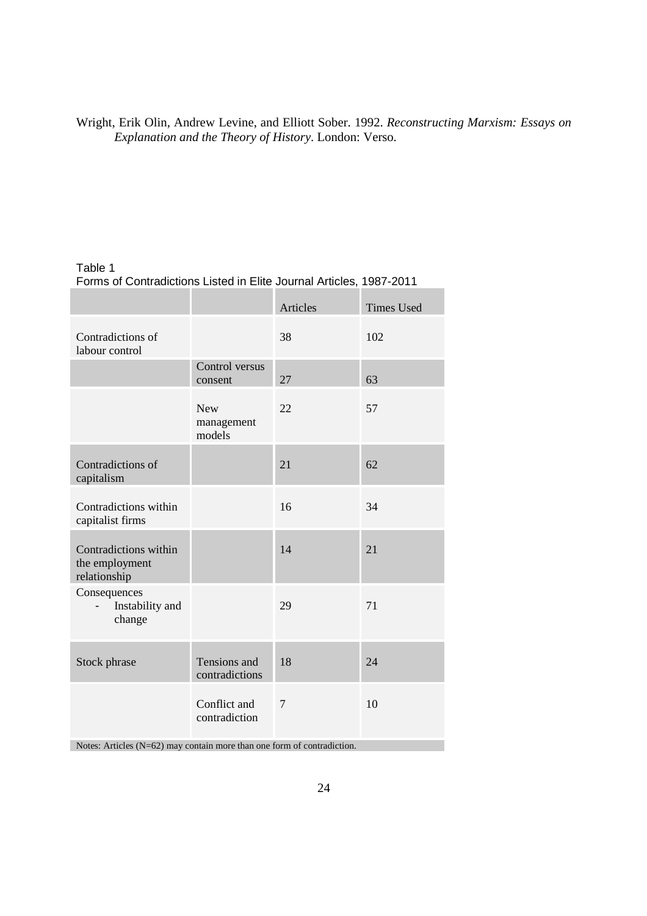Wright, Erik Olin, Andrew Levine, and Elliott Sober. 1992. *Reconstructing Marxism: Essays on Explanation and the Theory of History*. London: Verso.

#### Table 1 Forms of Contradictions Listed in Elite Journal Articles, 1987-2011

|                                                         |                                    | Articles | <b>Times Used</b> |
|---------------------------------------------------------|------------------------------------|----------|-------------------|
| Contradictions of<br>labour control                     |                                    | 38       | 102               |
|                                                         | Control versus<br>consent          | 27       | 63                |
|                                                         | <b>New</b><br>management<br>models | 22       | 57                |
| Contradictions of<br>capitalism                         |                                    | 21       | 62                |
| Contradictions within<br>capitalist firms               |                                    | 16       | 34                |
| Contradictions within<br>the employment<br>relationship |                                    | 14       | 21                |
| Consequences<br>Instability and<br>change               |                                    | 29       | 71                |
| Stock phrase                                            | Tensions and<br>contradictions     | 18       | 24                |
|                                                         | Conflict and<br>contradiction      | 7        | 10                |

Notes: Articles (N=62) may contain more than one form of contradiction.